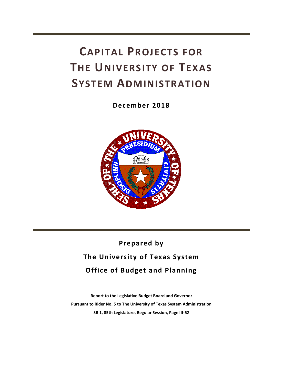# **CAPITAL PROJECTS FOR THE UNIVERSITY OF TEXAS SYSTEM ADMINISTRATION**

**December 2018**



## **Prepared by The University of Texas System Office of Budget and Planning**

**Report to the Legislative Budget Board and Governor Pursuant to Rider No. 5 to The University of Texas System Administration SB 1, 85th Legislature, Regular Session, Page III-62**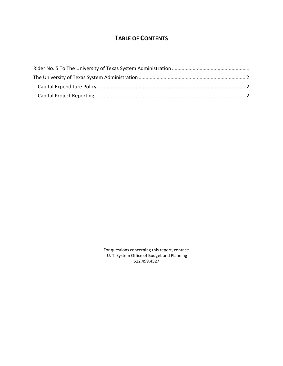### **TABLE OF CONTENTS**

For questions concerning this report, contact: U. T. System Office of Budget and Planning 512.499.4527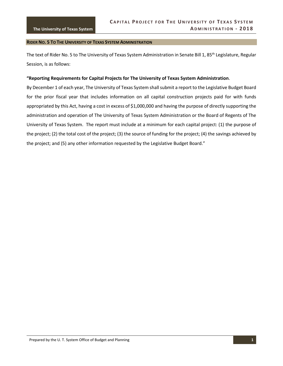#### <span id="page-4-0"></span>**RIDER NO. 5 TO THE UNIVERSITY OF TEXAS SYSTEM ADMINISTRATION**

The text of Rider No. 5 to The University of Texas System Administration in Senate Bill 1, 85<sup>th</sup> Legislature, Regular Session, is as follows:

#### **"Reporting Requirements for Capital Projects for The University of Texas System Administration**.

By December 1 of each year, The University of Texas System shall submit a report to the Legislative Budget Board for the prior fiscal year that includes information on all capital construction projects paid for with funds appropriated by this Act, having a cost in excess of \$1,000,000 and having the purpose of directly supporting the administration and operation of The University of Texas System Administration or the Board of Regents of The University of Texas System. The report must include at a minimum for each capital project: (1) the purpose of the project; (2) the total cost of the project; (3) the source of funding for the project; (4) the savings achieved by the project; and (5) any other information requested by the Legislative Budget Board."